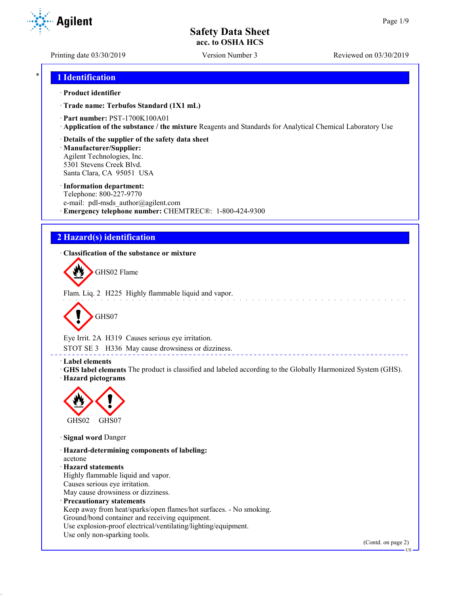Printing date 03/30/2019 Version Number 3 Reviewed on 03/30/2019

**Agilent** 

## \* **1 Identification**

## · **Product identifier**

· **Trade name: Terbufos Standard (1X1 mL)**

· **Part number:** PST-1700K100A01

· **Application of the substance / the mixture** Reagents and Standards for Analytical Chemical Laboratory Use

· **Details of the supplier of the safety data sheet**

· **Manufacturer/Supplier:** Agilent Technologies, Inc. 5301 Stevens Creek Blvd. Santa Clara, CA 95051 USA

### · **Information department:**

Telephone: 800-227-9770 e-mail: pdl-msds author@agilent.com · **Emergency telephone number:** CHEMTREC®: 1-800-424-9300

# **2 Hazard(s) identification**

· **Classification of the substance or mixture**



Flam. Liq. 2 H225 Highly flammable liquid and vapor.



Eye Irrit. 2A H319 Causes serious eye irritation.

STOT SE 3 H336 May cause drowsiness or dizziness.

### · **Label elements**

· **GHS label elements** The product is classified and labeled according to the Globally Harmonized System (GHS). · **Hazard pictograms**

<u>. . . . . . . . . . . . . .</u>



· **Signal word** Danger

· **Hazard-determining components of labeling:** acetone · **Hazard statements** Highly flammable liquid and vapor. Causes serious eye irritation. May cause drowsiness or dizziness. · **Precautionary statements** Keep away from heat/sparks/open flames/hot surfaces. - No smoking. Ground/bond container and receiving equipment. Use explosion-proof electrical/ventilating/lighting/equipment. Use only non-sparking tools.

(Contd. on page 2)

US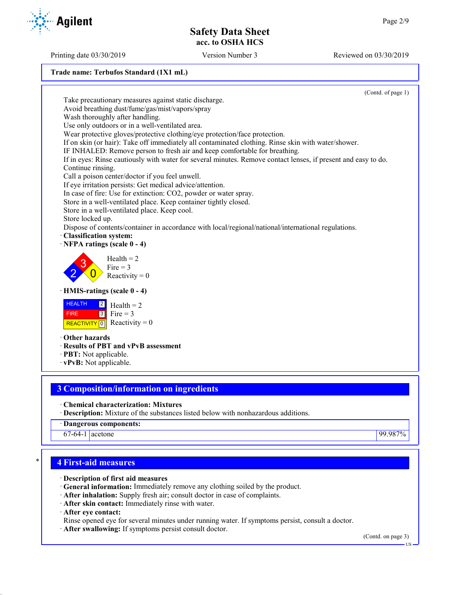(Contd. of page 1)

# **Trade name: Terbufos Standard (1X1 mL)**

Take precautionary measures against static discharge. Avoid breathing dust/fume/gas/mist/vapors/spray Wash thoroughly after handling. Use only outdoors or in a well-ventilated area. Wear protective gloves/protective clothing/eye protection/face protection. If on skin (or hair): Take off immediately all contaminated clothing. Rinse skin with water/shower. IF INHALED: Remove person to fresh air and keep comfortable for breathing. If in eyes: Rinse cautiously with water for several minutes. Remove contact lenses, if present and easy to do. Continue rinsing. Call a poison center/doctor if you feel unwell. If eye irritation persists: Get medical advice/attention. In case of fire: Use for extinction: CO2, powder or water spray. Store in a well-ventilated place. Keep container tightly closed. Store in a well-ventilated place. Keep cool. Store locked up. Dispose of contents/container in accordance with local/regional/national/international regulations. · **Classification system:** · **NFPA ratings (scale 0 - 4)** 2 3  $\overline{0}$  $Health = 2$ Fire  $= 3$ Reactivity  $= 0$ · **HMIS-ratings (scale 0 - 4) HEALTH**  FIRE REACTIVITY  $\boxed{0}$  Reactivity = 0  $|2|$  $3$  Fire = 3  $Health = 2$ · **Other hazards** · **Results of PBT and vPvB assessment** · **PBT:** Not applicable. · **vPvB:** Not applicable.

## **3 Composition/information on ingredients**

· **Chemical characterization: Mixtures**

- · **Description:** Mixture of the substances listed below with nonhazardous additions.
- · **Dangerous components:**
- 67-64-1 acetone 99.987%

## \* **4 First-aid measures**

- · **Description of first aid measures**
- · **General information:** Immediately remove any clothing soiled by the product.
- · **After inhalation:** Supply fresh air; consult doctor in case of complaints.
- · **After skin contact:** Immediately rinse with water.

· **After eye contact:**

- Rinse opened eye for several minutes under running water. If symptoms persist, consult a doctor.
- · **After swallowing:** If symptoms persist consult doctor.

(Contd. on page 3)

US

Printing date 03/30/2019 Version Number 3 Reviewed on 03/30/2019

**Agilent**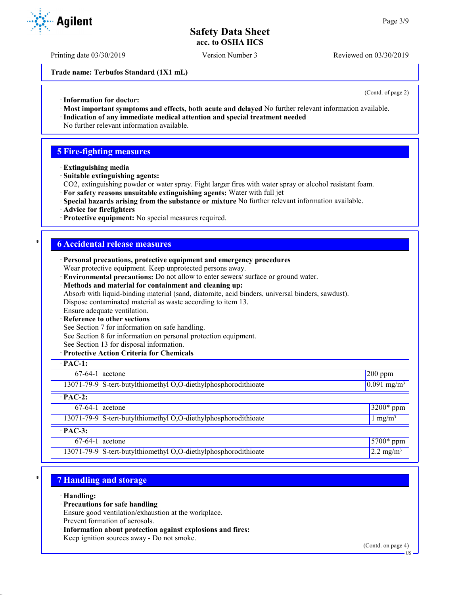Printing date 03/30/2019 Version Number 3 Reviewed on 03/30/2019

**Trade name: Terbufos Standard (1X1 mL)**

(Contd. of page 2)

- · **Information for doctor:**
- · **Most important symptoms and effects, both acute and delayed** No further relevant information available.
- · **Indication of any immediate medical attention and special treatment needed** No further relevant information available.

## **5 Fire-fighting measures**

- · **Extinguishing media**
- · **Suitable extinguishing agents:**
- CO2, extinguishing powder or water spray. Fight larger fires with water spray or alcohol resistant foam.
- · **For safety reasons unsuitable extinguishing agents:** Water with full jet
- · **Special hazards arising from the substance or mixture** No further relevant information available.
- · **Advice for firefighters**
- · **Protective equipment:** No special measures required.

## \* **6 Accidental release measures**

- · **Personal precautions, protective equipment and emergency procedures** Wear protective equipment. Keep unprotected persons away.
- · **Environmental precautions:** Do not allow to enter sewers/ surface or ground water.
- · **Methods and material for containment and cleaning up:**

Absorb with liquid-binding material (sand, diatomite, acid binders, universal binders, sawdust).

Dispose contaminated material as waste according to item 13.

# Ensure adequate ventilation.

## **Reference to other sections**

See Section 7 for information on safe handling.

See Section 8 for information on personal protection equipment.

See Section 13 for disposal information.

### · **Protective Action Criteria for Chemicals**

| $\cdot$ PAC-1:    |                                                                 |                                  |
|-------------------|-----------------------------------------------------------------|----------------------------------|
| $67-64-1$ acetone |                                                                 | $200$ ppm                        |
|                   | 13071-79-9 S-tert-butylthiomethyl O,O-diethylphosphorodithioate | $\sqrt{0.091}$ mg/m <sup>3</sup> |
| $\cdot$ PAC-2:    |                                                                 |                                  |
| $67-64-1$ acetone |                                                                 | 3200* ppm                        |
|                   | 13071-79-9 S-tert-butylthiomethyl O,O-diethylphosphorodithioate | $1 \text{ mg/m}^3$               |
| $\cdot$ PAC-3:    |                                                                 |                                  |
| $67-64-1$ acetone |                                                                 | $5700*$ ppm                      |
|                   | 13071-79-9 S-tert-butylthiomethyl O,O-diethylphosphorodithioate | $2.2 \text{ mg/m}^3$             |

# \* **7 Handling and storage**

- · **Handling:**
- · **Precautions for safe handling**

Ensure good ventilation/exhaustion at the workplace. Prevent formation of aerosols.

· **Information about protection against explosions and fires:** Keep ignition sources away - Do not smoke.

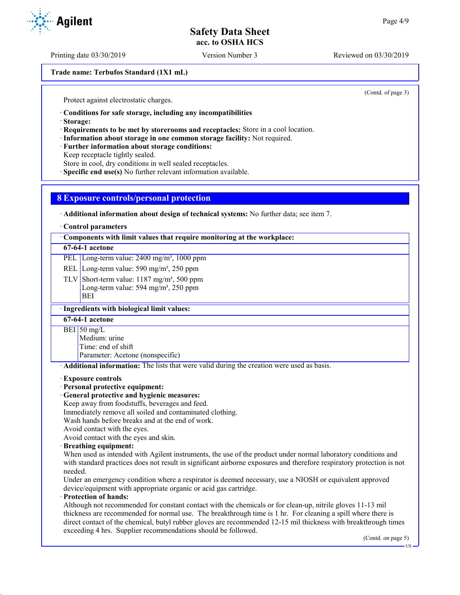Printing date 03/30/2019 Version Number 3 Reviewed on 03/30/2019

**Trade name: Terbufos Standard (1X1 mL)**

(Contd. of page 3)

Protect against electrostatic charges.

· **Conditions for safe storage, including any incompatibilities**

· **Storage:**

· **Requirements to be met by storerooms and receptacles:** Store in a cool location.

· **Information about storage in one common storage facility:** Not required.

· **Further information about storage conditions:**

Keep receptacle tightly sealed.

Store in cool, dry conditions in well sealed receptacles.

· **Specific end use(s)** No further relevant information available.

## **8 Exposure controls/personal protection**

· **Additional information about design of technical systems:** No further data; see item 7.

#### · **Control parameters**

· **Components with limit values that require monitoring at the workplace:**

## **67-64-1 acetone**

PEL Long-term value: 2400 mg/m<sup>3</sup>, 1000 ppm

REL Long-term value: 590 mg/m<sup>3</sup>, 250 ppm

TLV Short-term value:  $1187 \text{ mg/m}^3$ , 500 ppm Long-term value: 594 mg/m<sup>3</sup>, 250 ppm BEI

## · **Ingredients with biological limit values:**

**67-64-1 acetone**

BEI 50 mg/L

Medium: urine

Time: end of shift

Parameter: Acetone (nonspecific)

· **Additional information:** The lists that were valid during the creation were used as basis.

#### · **Exposure controls**

### · **Personal protective equipment:**

· **General protective and hygienic measures:**

Keep away from foodstuffs, beverages and feed.

Immediately remove all soiled and contaminated clothing.

Wash hands before breaks and at the end of work.

Avoid contact with the eyes.

Avoid contact with the eyes and skin.

#### · **Breathing equipment:**

When used as intended with Agilent instruments, the use of the product under normal laboratory conditions and with standard practices does not result in significant airborne exposures and therefore respiratory protection is not needed.

Under an emergency condition where a respirator is deemed necessary, use a NIOSH or equivalent approved device/equipment with appropriate organic or acid gas cartridge.

## · **Protection of hands:**

Although not recommended for constant contact with the chemicals or for clean-up, nitrile gloves 11-13 mil thickness are recommended for normal use. The breakthrough time is 1 hr. For cleaning a spill where there is direct contact of the chemical, butyl rubber gloves are recommended 12-15 mil thickness with breakthrough times exceeding 4 hrs. Supplier recommendations should be followed.

(Contd. on page 5)

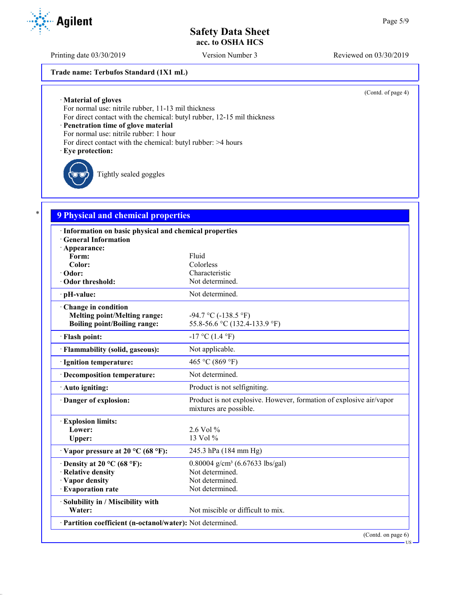Printing date 03/30/2019 Version Number 3 Reviewed on 03/30/2019

## **Trade name: Terbufos Standard (1X1 mL)**

(Contd. of page 4)

· **Material of gloves**

For normal use: nitrile rubber, 11-13 mil thickness

For direct contact with the chemical: butyl rubber, 12-15 mil thickness

· **Penetration time of glove material**

For normal use: nitrile rubber: 1 hour

For direct contact with the chemical: butyl rubber: >4 hours

#### · **Eye protection:**

Tightly sealed goggles

## \* **9 Physical and chemical properties**

| · Information on basic physical and chemical properties<br><b>General Information</b> |                                                                                               |
|---------------------------------------------------------------------------------------|-----------------------------------------------------------------------------------------------|
| · Appearance:                                                                         |                                                                                               |
| Form:                                                                                 | Fluid                                                                                         |
| Color:                                                                                | Colorless                                                                                     |
| · Odor:                                                                               | Characteristic                                                                                |
| · Odor threshold:                                                                     | Not determined.                                                                               |
| · pH-value:                                                                           | Not determined.                                                                               |
| Change in condition                                                                   |                                                                                               |
| <b>Melting point/Melting range:</b>                                                   | $-94.7 \text{ °C}$ ( $-138.5 \text{ °F}$ )                                                    |
| <b>Boiling point/Boiling range:</b>                                                   | 55.8-56.6 °C (132.4-133.9 °F)                                                                 |
| · Flash point:                                                                        | $-17$ °C (1.4 °F)                                                                             |
| · Flammability (solid, gaseous):                                                      | Not applicable.                                                                               |
| · Ignition temperature:                                                               | 465 °C (869 °F)                                                                               |
| · Decomposition temperature:                                                          | Not determined.                                                                               |
| · Auto igniting:                                                                      | Product is not selfigniting.                                                                  |
| · Danger of explosion:                                                                | Product is not explosive. However, formation of explosive air/vapor<br>mixtures are possible. |
| <b>Explosion limits:</b>                                                              |                                                                                               |
| Lower:                                                                                | 2.6 Vol %                                                                                     |
| Upper:                                                                                | 13 Vol %                                                                                      |
| $\cdot$ Vapor pressure at 20 °C (68 °F):                                              | 245.3 hPa (184 mm Hg)                                                                         |
| $\cdot$ Density at 20 °C (68 °F):                                                     | 0.80004 g/cm <sup>3</sup> (6.67633 lbs/gal)                                                   |
| · Relative density                                                                    | Not determined.                                                                               |
| · Vapor density                                                                       | Not determined.                                                                               |
| · Evaporation rate                                                                    | Not determined.                                                                               |
| · Solubility in / Miscibility with                                                    |                                                                                               |
| Water:                                                                                | Not miscible or difficult to mix.                                                             |
| · Partition coefficient (n-octanol/water): Not determined.                            |                                                                                               |
|                                                                                       | (Contd. on page 6)                                                                            |

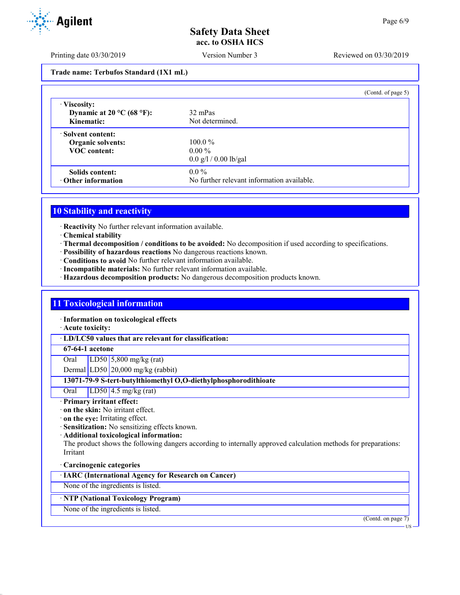Printing date 03/30/2019 Version Number 3 Reviewed on 03/30/2019

**Trade name: Terbufos Standard (1X1 mL)**

|                                                                             | (Contd. of page $5$ )                                 |  |
|-----------------------------------------------------------------------------|-------------------------------------------------------|--|
| · Viscosity:<br>Dynamic at 20 $^{\circ}$ C (68 $^{\circ}$ F):<br>Kinematic: | 32 mPas<br>Not determined.                            |  |
| · Solvent content:<br><b>Organic solvents:</b><br><b>VOC</b> content:       | $100.0\%$<br>$0.00\%$<br>$0.0$ g/l / 0.00 lb/gal      |  |
| Solids content:<br>$\cdot$ Other information                                | $0.0\%$<br>No further relevant information available. |  |

## **10 Stability and reactivity**

· **Reactivity** No further relevant information available.

- · **Chemical stability**
- · **Thermal decomposition / conditions to be avoided:** No decomposition if used according to specifications.
- · **Possibility of hazardous reactions** No dangerous reactions known.
- · **Conditions to avoid** No further relevant information available.
- · **Incompatible materials:** No further relevant information available.
- · **Hazardous decomposition products:** No dangerous decomposition products known.

## **11 Toxicological information**

· **Information on toxicological effects**

· **Acute toxicity:**

· **LD/LC50 values that are relevant for classification:**

### **67-64-1 acetone**

Oral LD50 5,800 mg/kg (rat)

Dermal LD50 20,000 mg/kg (rabbit)

**13071-79-9 S-tert-butylthiomethyl O,O-diethylphosphorodithioate**

Oral LD50 4.5 mg/kg (rat)

## · **Primary irritant effect:**

- · **on the skin:** No irritant effect.
- · **on the eye:** Irritating effect.
- · **Sensitization:** No sensitizing effects known.
- · **Additional toxicological information:**

The product shows the following dangers according to internally approved calculation methods for preparations: Irritant

## · **Carcinogenic categories**

· **IARC (International Agency for Research on Cancer)**

None of the ingredients is listed.

## · **NTP (National Toxicology Program)**

None of the ingredients is listed.

(Contd. on page 7)



US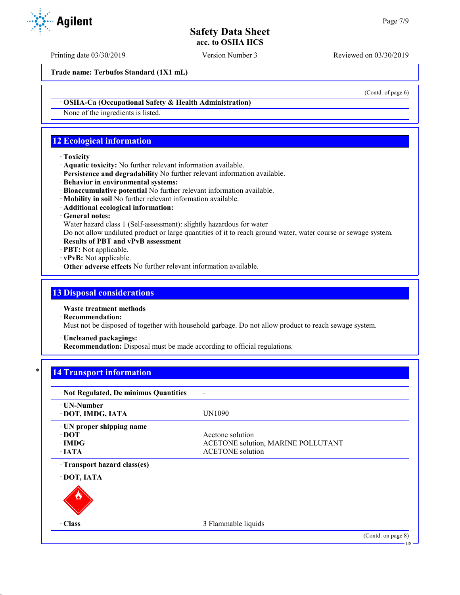Printing date 03/30/2019 Version Number 3 Reviewed on 03/30/2019

**Trade name: Terbufos Standard (1X1 mL)**

· **OSHA-Ca (Occupational Safety & Health Administration)**

None of the ingredients is listed.

# **12 Ecological information**

### · **Toxicity**

- · **Aquatic toxicity:** No further relevant information available.
- · **Persistence and degradability** No further relevant information available.
- · **Behavior in environmental systems:**
- · **Bioaccumulative potential** No further relevant information available.
- · **Mobility in soil** No further relevant information available.
- · **Additional ecological information:**
- · **General notes:**

Water hazard class 1 (Self-assessment): slightly hazardous for water

Do not allow undiluted product or large quantities of it to reach ground water, water course or sewage system.

- · **Results of PBT and vPvB assessment**
- · **PBT:** Not applicable.
- · **vPvB:** Not applicable.
- · **Other adverse effects** No further relevant information available.

## **13 Disposal considerations**

- · **Waste treatment methods**
- · **Recommendation:**

Must not be disposed of together with household garbage. Do not allow product to reach sewage system.

· **Uncleaned packagings:**

· **Recommendation:** Disposal must be made according to official regulations.

# **14 Transport information**

| · Not Regulated, De minimus Quantities                                   |                                                                                          |                                    |
|--------------------------------------------------------------------------|------------------------------------------------------------------------------------------|------------------------------------|
| ⋅ UN-Number<br>· DOT, IMDG, IATA                                         | UN1090                                                                                   |                                    |
| · UN proper shipping name<br>$\cdot$ DOT<br>$\cdot$ IMDG<br>$\cdot$ IATA | Acetone solution<br><b>ACETONE solution, MARINE POLLUTANT</b><br><b>ACETONE</b> solution |                                    |
| Transport hazard class(es)<br>· DOT, IATA                                |                                                                                          |                                    |
| $\cdot$ Class                                                            | 3 Flammable liquids                                                                      |                                    |
|                                                                          |                                                                                          | (Contd. on page 8)<br>$\cdot$ US - |



(Contd. of page 6)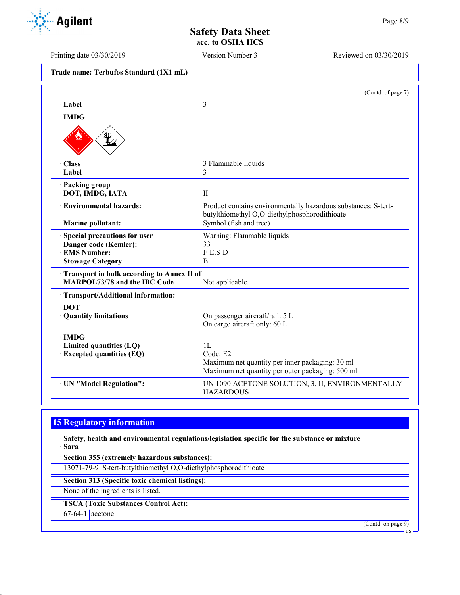Printing date 03/30/2019 Version Number 3 Reviewed on 03/30/2019

**Agilent** 

| Trade name: Terbufos Standard (1X1 mL) |  |  |  |
|----------------------------------------|--|--|--|
|----------------------------------------|--|--|--|

|                                            | (Contd. of page 7)                                                                                              |
|--------------------------------------------|-----------------------------------------------------------------------------------------------------------------|
| · Label                                    | 3                                                                                                               |
| $\cdot$ IMDG                               |                                                                                                                 |
|                                            |                                                                                                                 |
| · Class                                    | 3 Flammable liquids                                                                                             |
| $\cdot$ Label                              | 3                                                                                                               |
| · Packing group                            |                                                                                                                 |
| · DOT, IMDG, IATA                          | $\mathbf{I}$                                                                                                    |
| <b>Environmental hazards:</b>              | Product contains environmentally hazardous substances: S-tert-<br>butylthiomethyl O,O-diethylphosphorodithioate |
| · Marine pollutant:                        | Symbol (fish and tree)                                                                                          |
| Special precautions for user               | Warning: Flammable liquids                                                                                      |
| · Danger code (Kemler):                    | 33                                                                                                              |
| · EMS Number:                              | $F-E, S-D$                                                                                                      |
| · Stowage Category                         | B                                                                                                               |
| Transport in bulk according to Annex II of |                                                                                                                 |
| <b>MARPOL73/78 and the IBC Code</b>        | Not applicable.                                                                                                 |
| · Transport/Additional information:        |                                                                                                                 |
| $\cdot$ DOT                                |                                                                                                                 |
| · Quantity limitations                     | On passenger aircraft/rail: 5 L                                                                                 |
|                                            | On cargo aircraft only: 60 L                                                                                    |
| $\cdot$ IMDG                               |                                                                                                                 |
| · Limited quantities (LQ)                  | 1L                                                                                                              |
| <b>Excepted quantities (EQ)</b>            | Code: E2                                                                                                        |
|                                            | Maximum net quantity per inner packaging: 30 ml                                                                 |
|                                            | Maximum net quantity per outer packaging: 500 ml                                                                |
| · UN "Model Regulation":                   | UN 1090 ACETONE SOLUTION, 3, II, ENVIRONMENTALLY<br><b>HAZARDOUS</b>                                            |

# **15 Regulatory information**

· **Safety, health and environmental regulations/legislation specific for the substance or mixture** · **Sara**

· **Section 355 (extremely hazardous substances):**

13071-79-9 S-tert-butylthiomethyl O,O-diethylphosphorodithioate

· **Section 313 (Specific toxic chemical listings):**

None of the ingredients is listed.

· **TSCA (Toxic Substances Control Act):**

67-64-1 acetone

(Contd. on page 9)

US